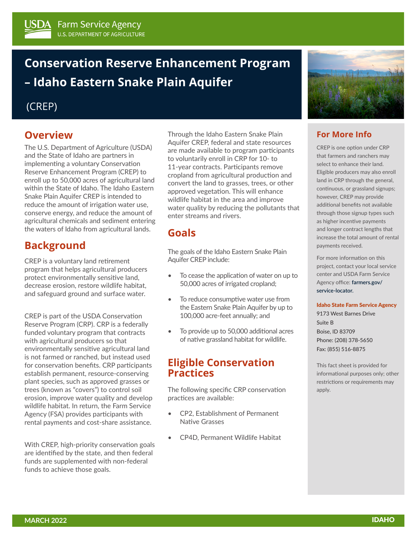# **Conservation Reserve Enhancement Program – Idaho Eastern Snake Plain Aquifer**

### (CREP)

# **Overview**

The U.S. Department of Agriculture (USDA) and the State of Idaho are partners in implementing a voluntary Conservation Reserve Enhancement Program (CREP) to enroll up to 50,000 acres of agricultural land within the State of Idaho. The Idaho Eastern Snake Plain Aquifer CREP is intended to reduce the amount of irrigation water use, conserve energy, and reduce the amount of agricultural chemicals and sediment entering the waters of Idaho from agricultural lands.

# **Background**

CREP is a voluntary land retirement program that helps agricultural producers protect environmentally sensitive land, decrease erosion, restore wildlife habitat, and safeguard ground and surface water.

CREP is part of the USDA Conservation Reserve Program (CRP). CRP is a federally funded voluntary program that contracts with agricultural producers so that environmentally sensitive agricultural land is not farmed or ranched, but instead used for conservation benefits. CRP participants establish permanent, resource-conserving plant species, such as approved grasses or trees (known as "covers") to control soil erosion, improve water quality and develop wildlife habitat. In return, the Farm Service Agency (FSA) provides participants with rental payments and cost-share assistance.

With CREP, high-priority conservation goals are identified by the state, and then federal funds are supplemented with non-federal funds to achieve those goals.

Through the Idaho Eastern Snake Plain Aquifer CREP, federal and state resources are made available to program participants to voluntarily enroll in CRP for 10- to 11-year contracts. Participants remove cropland from agricultural production and convert the land to grasses, trees, or other approved vegetation. This will enhance wildlife habitat in the area and improve water quality by reducing the pollutants that enter streams and rivers.

# **Goals**

The goals of the Idaho Eastern Snake Plain Aquifer CREP include:

- To cease the application of water on up to 50,000 acres of irrigated cropland;
- To reduce consumptive water use from the Eastern Snake Plain Aquifer by up to 100,000 acre-feet annually; and
- To provide up to 50,000 additional acres of native grassland habitat for wildlife.

### **Eligible Conservation Practices**

The following specific CRP conservation practices are available:

- CP2, Establishment of Permanent Native Grasses
- CP4D, Permanent Wildlife Habitat



### **For More Info**

CREP is one option under CRP that farmers and ranchers may select to enhance their land. Eligible producers may also enroll land in CRP through the general, continuous, or grassland signups; however, CREP may provide additional benefits not available through those signup types such as higher incentive payments and longer contract lengths that increase the total amount of rental payments received.

For more information on this project, contact your local service center and USDA Farm Service Agency office: **[farmers.gov/](http://farmers.gov/service-locator) [service-locator.](http://farmers.gov/service-locator)**

#### Idaho State Farm Service Agency

9173 West Barnes Drive Suite B Boise, ID 83709 Phone: (208) 378-5650 Fax: (855) 516-8875

This fact sheet is provided for informational purposes only; other restrictions or requirements may apply.